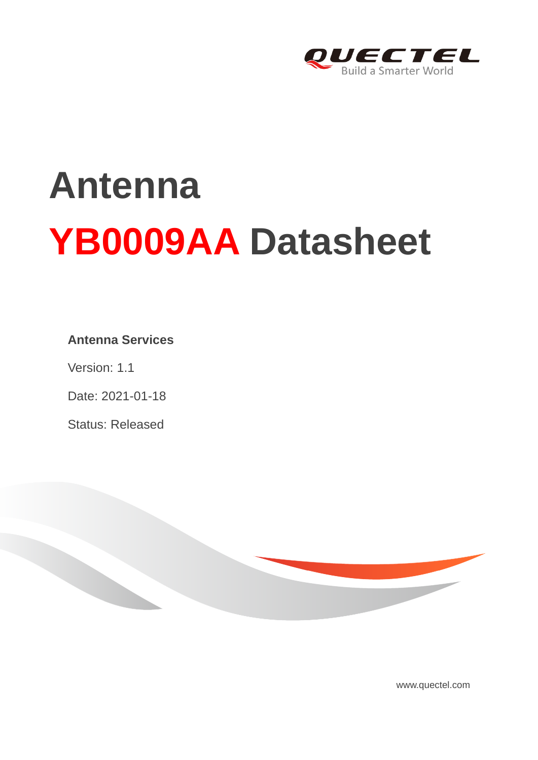

# **Antenna YB0009AA Datasheet**

### **Antenna Services**

Version: 1.1

Date: 2021-01-18

Status: Released



www.quectel.com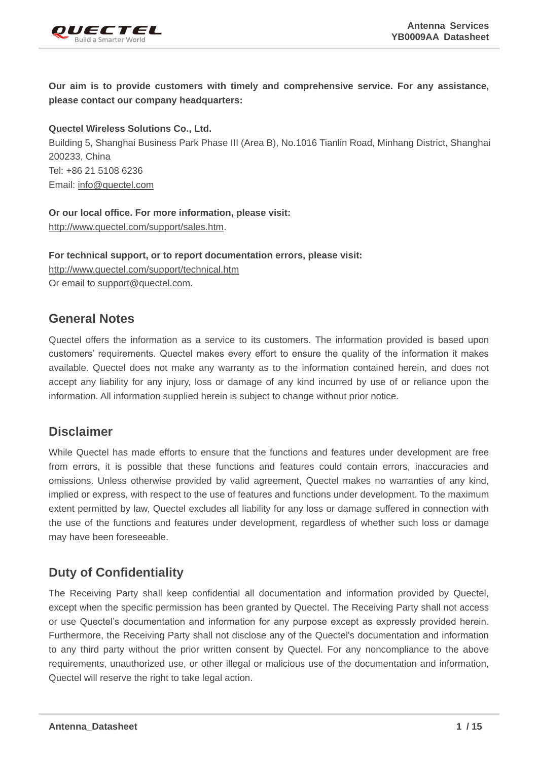

**Our aim is to provide customers with timely and comprehensive service. For any assistance, please contact our company headquarters:**

**Quectel Wireless Solutions Co., Ltd.**  Building 5, Shanghai Business Park Phase III (Area B), No.1016 Tianlin Road, Minhang District, Shanghai 200233, China Tel: +86 21 5108 6236 Email: [info@quectel.com](mailto:info@quectel.com)

**Or our local office. For more information, please visit:** [http://www.quectel.com/support/sales.htm.](http://www.quectel.com/support/sales.htm)

**For technical support, or to report documentation errors, please visit:**  <http://www.quectel.com/support/technical.htm> Or email to [support@quectel.com.](mailto:support@quectel.com)

#### **General Notes**

Quectel offers the information as a service to its customers. The information provided is based upon customers' requirements. Quectel makes every effort to ensure the quality of the information it makes available. Quectel does not make any warranty as to the information contained herein, and does not accept any liability for any injury, loss or damage of any kind incurred by use of or reliance upon the information. All information supplied herein is subject to change without prior notice.

### **Disclaimer**

While Quectel has made efforts to ensure that the functions and features under development are free from errors, it is possible that these functions and features could contain errors, inaccuracies and omissions. Unless otherwise provided by valid agreement, Quectel makes no warranties of any kind, implied or express, with respect to the use of features and functions under development. To the maximum extent permitted by law, Quectel excludes all liability for any loss or damage suffered in connection with the use of the functions and features under development, regardless of whether such loss or damage may have been foreseeable.

## **Duty of Confidentiality**

The Receiving Party shall keep confidential all documentation and information provided by Quectel, except when the specific permission has been granted by Quectel. The Receiving Party shall not access or use Quectel's documentation and information for any purpose except as expressly provided herein. Furthermore, the Receiving Party shall not disclose any of the Quectel's documentation and information to any third party without the prior written consent by Quectel. For any noncompliance to the above requirements, unauthorized use, or other illegal or malicious use of the documentation and information, Quectel will reserve the right to take legal action.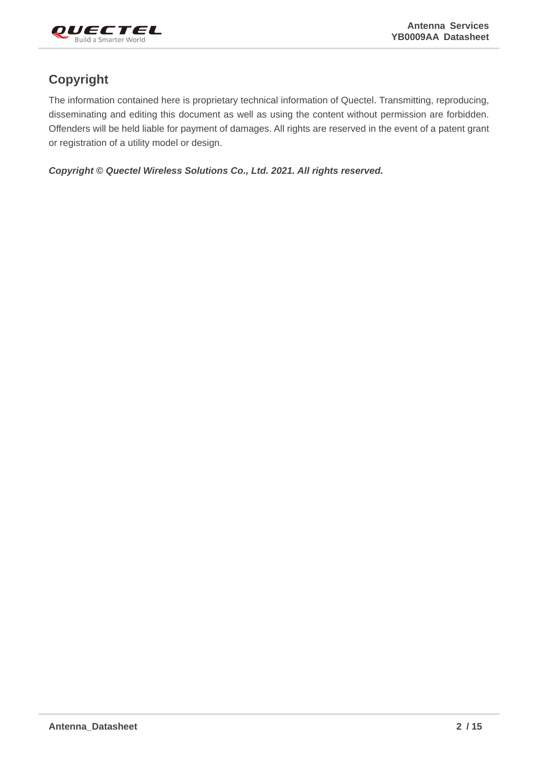

## **Copyright**

The information contained here is proprietary technical information of Quectel. Transmitting, reproducing, disseminating and editing this document as well as using the content without permission are forbidden. Offenders will be held liable for payment of damages. All rights are reserved in the event of a patent grant or registration of a utility model or design.

*Copyright © Quectel Wireless Solutions Co., Ltd. 2021. All rights reserved.*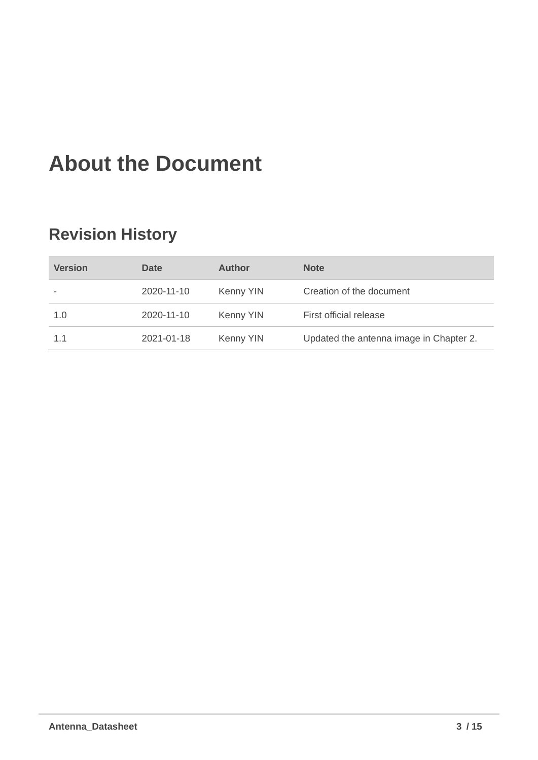# <span id="page-3-0"></span>**About the Document**

## **Revision History**

| <b>Version</b> | Date       | Author    | <b>Note</b>                             |
|----------------|------------|-----------|-----------------------------------------|
|                | 2020-11-10 | Kenny YIN | Creation of the document                |
| 1.0            | 2020-11-10 | Kenny YIN | First official release                  |
| 1.1            | 2021-01-18 | Kenny YIN | Updated the antenna image in Chapter 2. |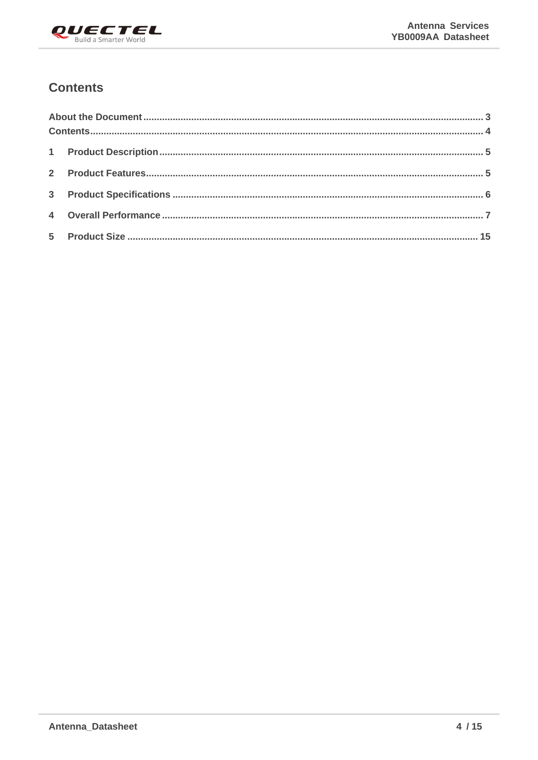

## <span id="page-4-0"></span>**Contents**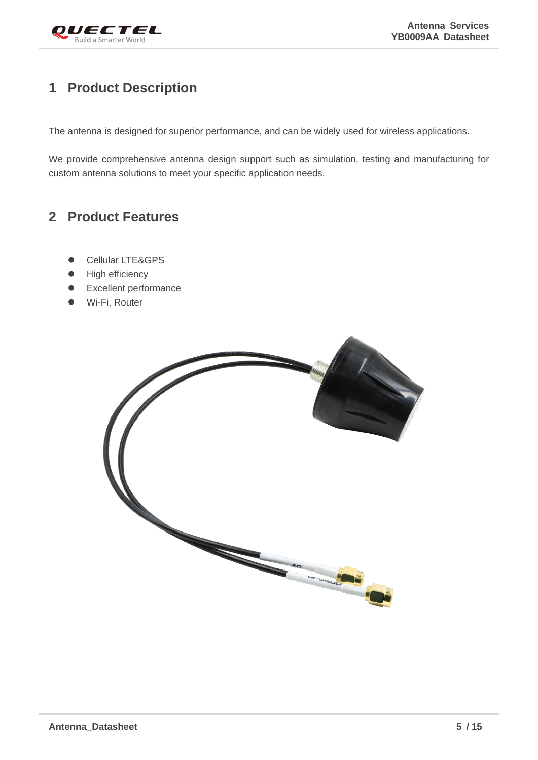

## <span id="page-5-0"></span>**1 Product Description**

The antenna is designed for superior performance, and can be widely used for wireless applications.

We provide comprehensive antenna design support such as simulation, testing and manufacturing for custom antenna solutions to meet your specific application needs.

## <span id="page-5-1"></span>**2 Product Features**

- Cellular LTE&GPS
- High efficiency
- ⚫ Excellent performance
- Wi-Fi, Router

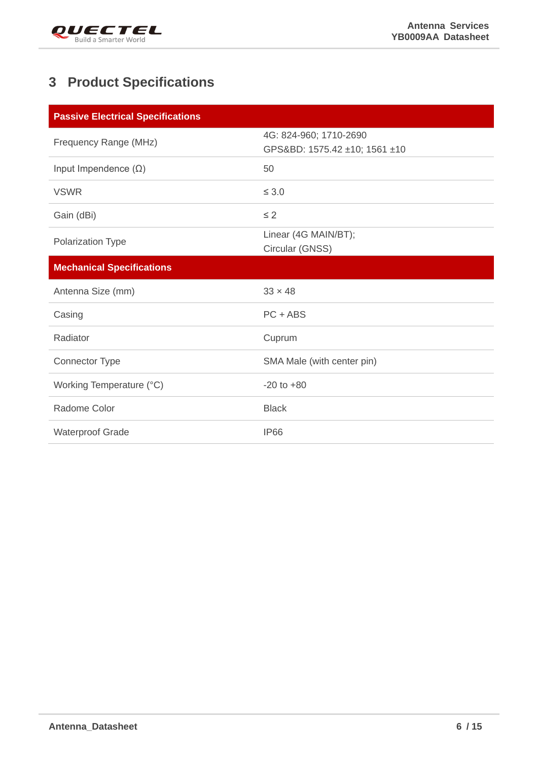

## <span id="page-6-0"></span>**3 Product Specifications**

| <b>Passive Electrical Specifications</b> |                                                         |
|------------------------------------------|---------------------------------------------------------|
| Frequency Range (MHz)                    | 4G: 824-960; 1710-2690<br>GPS&BD: 1575.42 ±10; 1561 ±10 |
| Input Impendence $(\Omega)$              | 50                                                      |
| <b>VSWR</b>                              | $\leq 3.0$                                              |
| Gain (dBi)                               | $\leq$ 2                                                |
| Polarization Type                        | Linear (4G MAIN/BT);<br>Circular (GNSS)                 |
| <b>Mechanical Specifications</b>         |                                                         |
|                                          |                                                         |
| Antenna Size (mm)                        | $33 \times 48$                                          |
| Casing                                   | $PC + ABS$                                              |
| Radiator                                 | Cuprum                                                  |
| Connector Type                           | SMA Male (with center pin)                              |
| Working Temperature (°C)                 | $-20$ to $+80$                                          |
| Radome Color                             | <b>Black</b>                                            |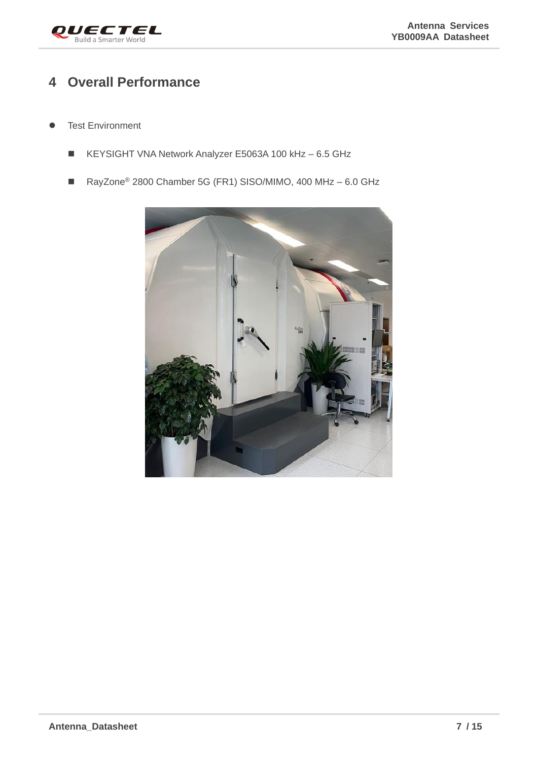

## <span id="page-7-0"></span>**4 Overall Performance**

- **Test Environment** 
	- KEYSIGHT VNA Network Analyzer E5063A 100 kHz 6.5 GHz
	- RayZone<sup>®</sup> 2800 Chamber 5G (FR1) SISO/MIMO, 400 MHz 6.0 GHz

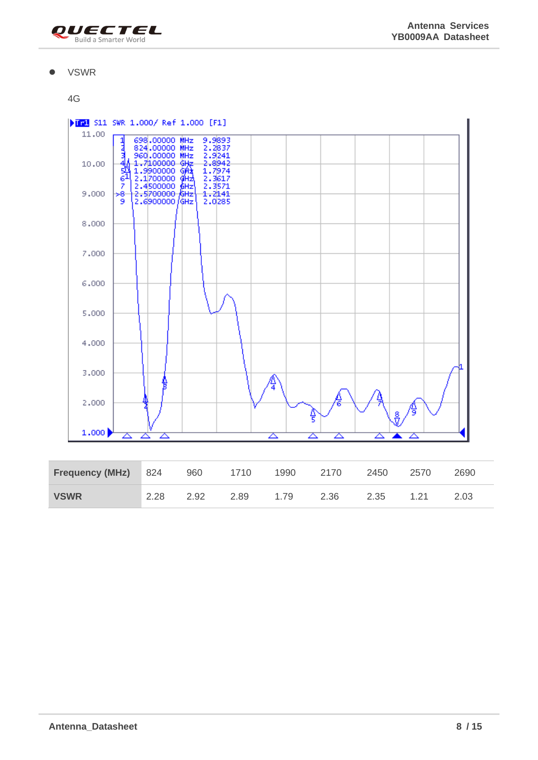

#### ⚫ VSWR



| <b>Frequency (MHz)</b> 824 |      | 960  | 1710 | 1990 | 2170 | 2450 | 2570    | 2690 |
|----------------------------|------|------|------|------|------|------|---------|------|
| <b>VSWR</b>                | 2.28 | 2.92 | 2.89 | 1.79 | 2.36 | 2.35 | $-1.21$ | 2.03 |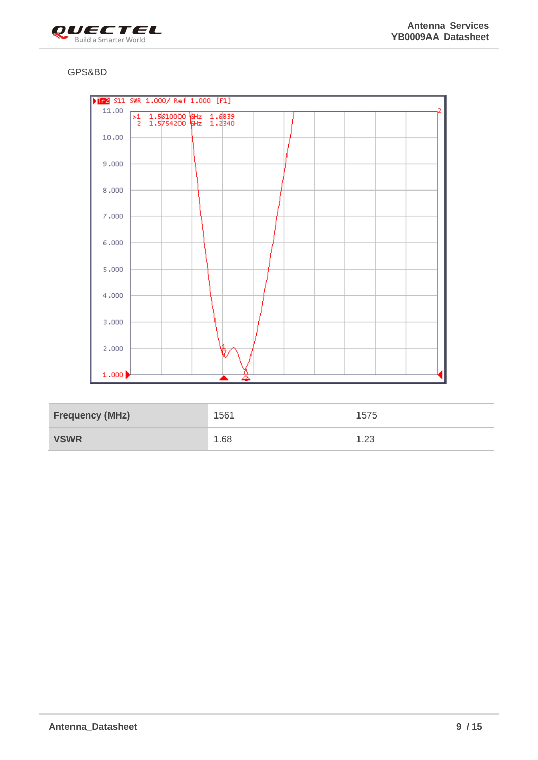

#### GPS&BD



| <b>Frequency (MHz)</b> | 1561 | 1575 |
|------------------------|------|------|
| <b>VSWR</b>            | 1.68 | 1.23 |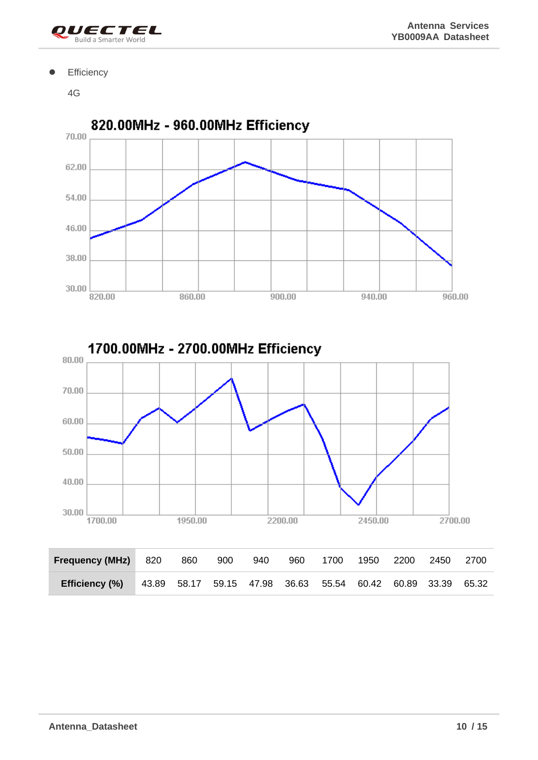

#### **•** Efficiency

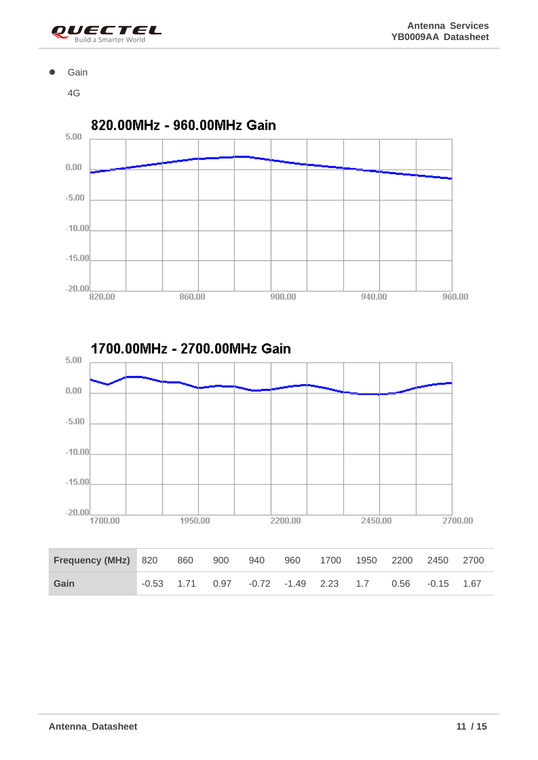

#### ⚫ Gain

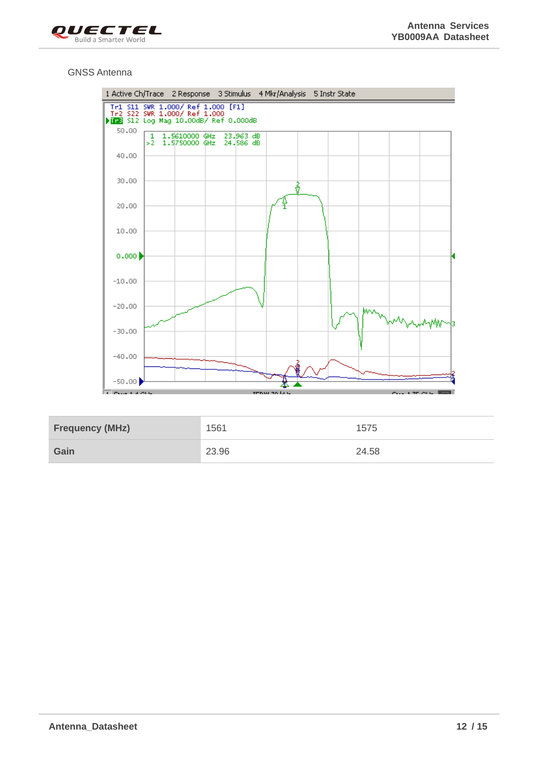

#### GNSS Antenna



| <b>Frequency (MHz)</b> | 1561  | 1575  |
|------------------------|-------|-------|
| Gain                   | 23.96 | 24.58 |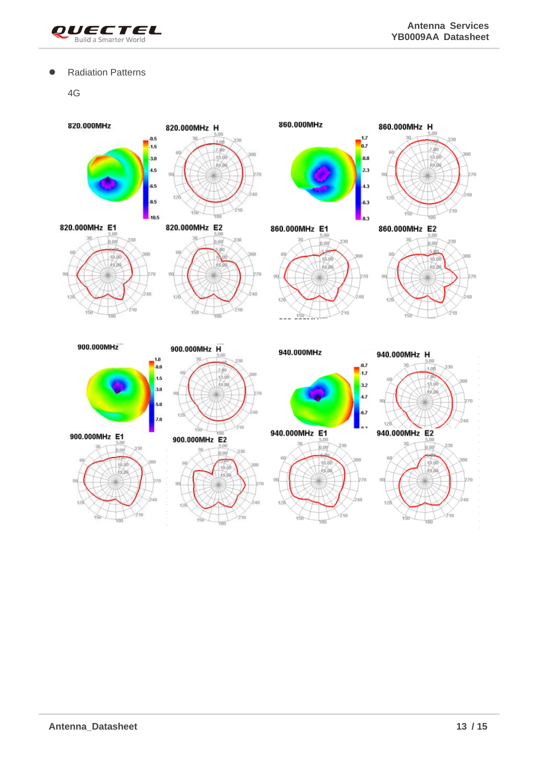

#### ● Radiation Patterns

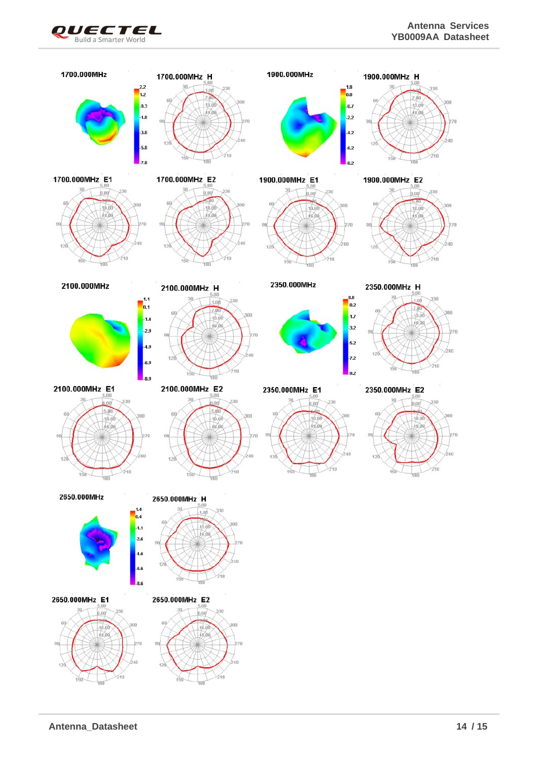